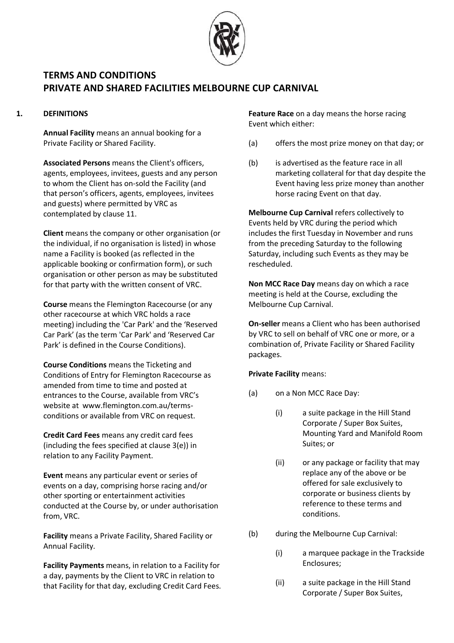

## **1. DEFINITIONS**

**Annual Facility** means an annual booking for a Private Facility or Shared Facility.

**Associated Persons** means the Client's officers, agents, employees, invitees, guests and any person to whom the Client has on-sold the Facility (and that person's officers, agents, employees, invitees and guests) where permitted by VRC as contemplated by claus[e 11.](#page-8-0)

**Client** means the company or other organisation (or the individual, if no organisation is listed) in whose name a Facility is booked (as reflected in the applicable booking or confirmation form), or such organisation or other person as may be substituted for that party with the written consent of VRC.

**Course** means the Flemington Racecourse (or any other racecourse at which VRC holds a race meeting) including the 'Car Park' and the 'Reserved Car Park' (as the term 'Car Park' and 'Reserved Car Park' is defined in the Course Conditions).

**Course Conditions** means the Ticketing and Conditions of Entry for Flemington Racecourse as amended from time to time and posted at entrances to the Course, available from VRC's website at www.flemington.com.au/termsconditions or available from VRC on request.

**Credit Card Fees** means any credit card fees (including the fees specified at clause [3\(e\)\)](#page-2-0) in relation to any Facility Payment.

**Event** means any particular event or series of events on a day, comprising horse racing and/or other sporting or entertainment activities conducted at the Course by, or under authorisation from, VRC.

**Facility** means a Private Facility, Shared Facility or Annual Facility.

**Facility Payments** means, in relation to a Facility for a day, payments by the Client to VRC in relation to that Facility for that day, excluding Credit Card Fees. **Feature Race** on a day means the horse racing Event which either:

- (a) offers the most prize money on that day; or
- (b) is advertised as the feature race in all marketing collateral for that day despite the Event having less prize money than another horse racing Event on that day.

**Melbourne Cup Carnival** refers collectively to Events held by VRC during the period which includes the first Tuesday in November and runs from the preceding Saturday to the following Saturday, including such Events as they may be rescheduled.

**Non MCC Race Day** means day on which a race meeting is held at the Course, excluding the Melbourne Cup Carnival.

**On-seller** means a Client who has been authorised by VRC to sell on behalf of VRC one or more, or a combination of, Private Facility or Shared Facility packages.

## **Private Facility** means:

- (a) on a Non MCC Race Day:
	- (i) a suite package in the Hill Stand Corporate / Super Box Suites, Mounting Yard and Manifold Room Suites; or
	- (ii) or any package or facility that may replace any of the above or be offered for sale exclusively to corporate or business clients by reference to these terms and conditions.
- (b) during the Melbourne Cup Carnival:
	- (i) a marquee package in the Trackside Enclosures;
	- (ii) a suite package in the Hill Stand Corporate / Super Box Suites,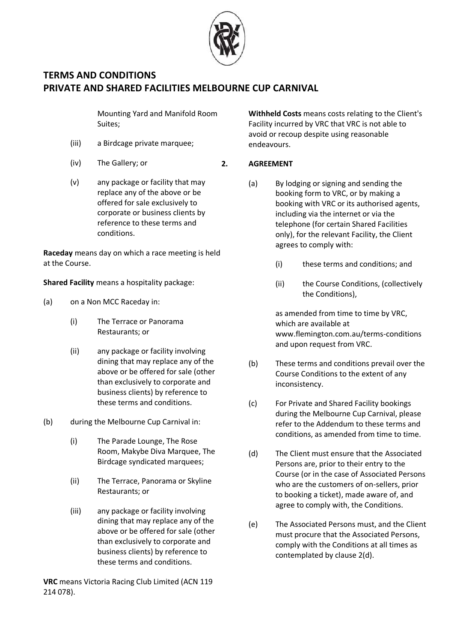

Mounting Yard and Manifold Room Suites;

- (iii) a Birdcage private marquee;
- (iv) The Gallery; or
- (v) any package or facility that may replace any of the above or be offered for sale exclusively to corporate or business clients by reference to these terms and conditions.

**Raceday** means day on which a race meeting is held at the Course.

**Shared Facility** means a hospitality package:

- (a) on a Non MCC Raceday in:
	- (i) The Terrace or Panorama Restaurants; or
	- (ii) any package or facility involving dining that may replace any of the above or be offered for sale (other than exclusively to corporate and business clients) by reference to these terms and conditions.
- (b) during the Melbourne Cup Carnival in:
	- (i) The Parade Lounge, The Rose Room, Makybe Diva Marquee, The Birdcage syndicated marquees;
	- (ii) The Terrace, Panorama or Skyline Restaurants; or
	- (iii) any package or facility involving dining that may replace any of the above or be offered for sale (other than exclusively to corporate and business clients) by reference to these terms and conditions.

**VRC** means Victoria Racing Club Limited (ACN 119 214 078).

**Withheld Costs** means costs relating to the Client's Facility incurred by VRC that VRC is not able to avoid or recoup despite using reasonable endeavours.

#### **2. AGREEMENT**

- (a) By lodging or signing and sending the booking form to VRC, or by making a booking with VRC or its authorised agents, including via the internet or via the telephone (for certain Shared Facilities only), for the relevant Facility, the Client agrees to comply with:
	- (i) these terms and conditions; and
	- (ii) the Course Conditions, (collectively the Conditions),

as amended from time to time by VRC, which are available at www.flemington.com.au/terms-conditions and upon request from VRC.

- (b) These terms and conditions prevail over the Course Conditions to the extent of any inconsistency.
- <span id="page-1-1"></span>(c) For Private and Shared Facility bookings during the Melbourne Cup Carnival, please refer to the Addendum to these terms and conditions, as amended from time to time.
- <span id="page-1-0"></span>(d) The Client must ensure that the Associated Persons are, prior to their entry to the Course (or in the case of Associated Persons who are the customers of on-sellers, prior to booking a ticket), made aware of, and agree to comply with, the Conditions.
- (e) The Associated Persons must, and the Client must procure that the Associated Persons, comply with the Conditions at all times as contemplated by clause [2\(d\).](#page-1-0)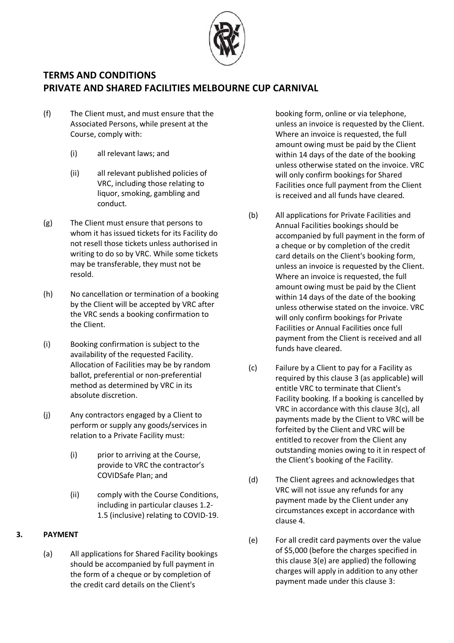

- (f) The Client must, and must ensure that the Associated Persons, while present at the Course, comply with:
	- (i) all relevant laws; and
	- (ii) all relevant published policies of VRC, including those relating to liquor, smoking, gambling and conduct.
- (g) The Client must ensure that persons to whom it has issued tickets for its Facility do not resell those tickets unless authorised in writing to do so by VRC. While some tickets may be transferable, they must not be resold.
- (h) No cancellation or termination of a booking by the Client will be accepted by VRC after the VRC sends a booking confirmation to the Client.
- (i) Booking confirmation is subject to the availability of the requested Facility. Allocation of Facilities may be by random ballot, preferential or non-preferential method as determined by VRC in its absolute discretion.
- (j) Any contractors engaged by a Client to perform or supply any goods/services in relation to a Private Facility must:
	- (i) prior to arriving at the Course, provide to VRC the contractor's COVIDSafe Plan; and
	- (ii) comply with the Course Conditions, including in particular clauses 1.2- 1.5 (inclusive) relating to COVID-19.

## <span id="page-2-1"></span>**3. PAYMENT**

(a) All applications for Shared Facility bookings should be accompanied by full payment in the form of a cheque or by completion of the credit card details on the Client's

booking form, online or via telephone, unless an invoice is requested by the Client. Where an invoice is requested, the full amount owing must be paid by the Client within 14 days of the date of the booking unless otherwise stated on the invoice. VRC will only confirm bookings for Shared Facilities once full payment from the Client is received and all funds have cleared.

- <span id="page-2-3"></span>(b) All applications for Private Facilities and Annual Facilities bookings should be accompanied by full payment in the form of a cheque or by completion of the credit card details on the Client's booking form, unless an invoice is requested by the Client. Where an invoice is requested, the full amount owing must be paid by the Client within 14 days of the date of the booking unless otherwise stated on the invoice. VRC will only confirm bookings for Private Facilities or Annual Facilities once full payment from the Client is received and all funds have cleared.
- <span id="page-2-2"></span>(c) Failure by a Client to pay for a Facility as required by this claus[e 3](#page-2-1) (as applicable) will entitle VRC to terminate that Client's Facility booking. If a booking is cancelled by VRC in accordance with this clause [3\(c\),](#page-2-2) all payments made by the Client to VRC will be forfeited by the Client and VRC will be entitled to recover from the Client any outstanding monies owing to it in respect of the Client's booking of the Facility.
- (d) The Client agrees and acknowledges that VRC will not issue any refunds for any payment made by the Client under any circumstances except in accordance with claus[e 4.](#page-3-0)
- <span id="page-2-0"></span>(e) For all credit card payments over the value of \$5,000 (before the charges specified in this claus[e 3\(e\)](#page-2-0) are applied) the following charges will apply in addition to any other payment made under this claus[e 3:](#page-2-1)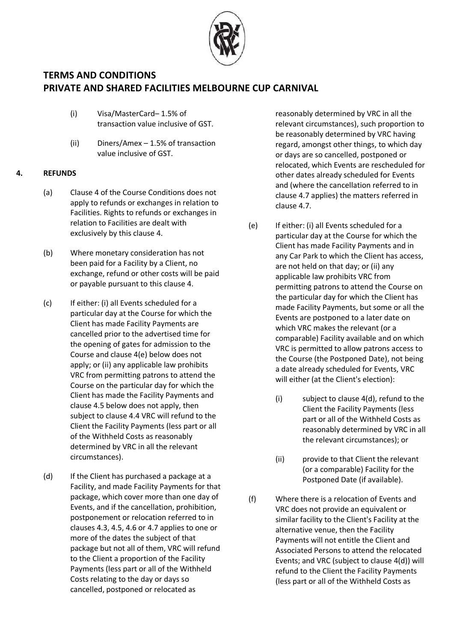

- (i) Visa/MasterCard– 1.5% of transaction value inclusive of GST.
- (ii) Diners/Amex 1.5% of transaction value inclusive of GST.

## <span id="page-3-5"></span><span id="page-3-0"></span>**4. REFUNDS**

- (a) Clause [4](#page-3-0) of the Course Conditions does not apply to refunds or exchanges in relation to Facilities. Rights to refunds or exchanges in relation to Facilities are dealt with exclusively by this clause [4.](#page-3-0)
- (b) Where monetary consideration has not been paid for a Facility by a Client, no exchange, refund or other costs will be paid or payable pursuant to this clause 4.
- (c) If either: (i) all Events scheduled for a particular day at the Course for which the Client has made Facility Payments are cancelled prior to the advertised time for the opening of gates for admission to the Course and claus[e 4\(e\)](#page-3-1) below does not apply; or (ii) any applicable law prohibits VRC from permitting patrons to attend the Course on the particular day for which the Client has made the Facility Payments and clause 4.5 below does not apply, then subject to clause 4.4 VRC will refund to the Client the Facility Payments (less part or all of the Withheld Costs as reasonably determined by VRC in all the relevant circumstances).
- <span id="page-3-2"></span>(d) If the Client has purchased a package at a Facility, and made Facility Payments for that package, which cover more than one day of Events, and if the cancellation, prohibition, postponement or relocation referred to in clauses 4.3, 4.5, 4.6 or 4.7 applies to one or more of the dates the subject of that package but not all of them, VRC will refund to the Client a proportion of the Facility Payments (less part or all of the Withheld Costs relating to the day or days so cancelled, postponed or relocated as

reasonably determined by VRC in all the relevant circumstances), such proportion to be reasonably determined by VRC having regard, amongst other things, to which day or days are so cancelled, postponed or relocated, which Events are rescheduled for other dates already scheduled for Events and (where the cancellation referred to in clause 4.7 applies) the matters referred in clause 4.7.

- <span id="page-3-1"></span>(e) If either: (i) all Events scheduled for a particular day at the Course for which the Client has made Facility Payments and in any Car Park to which the Client has access, are not held on that day; or (ii) any applicable law prohibits VRC from permitting patrons to attend the Course on the particular day for which the Client has made Facility Payments, but some or all the Events are postponed to a later date on which VRC makes the relevant (or a comparable) Facility available and on which VRC is permitted to allow patrons access to the Course (the Postponed Date), not being a date already scheduled for Events, VRC will either (at the Client's election):
	- (i) subject to clause [4\(d\),](#page-3-2) refund to the Client the Facility Payments (less part or all of the Withheld Costs as reasonably determined by VRC in all the relevant circumstances); or
	- (ii) provide to that Client the relevant (or a comparable) Facility for the Postponed Date (if available).
- <span id="page-3-4"></span><span id="page-3-3"></span>(f) Where there is a relocation of Events and VRC does not provide an equivalent or similar facility to the Client's Facility at the alternative venue, then the Facility Payments will not entitle the Client and Associated Persons to attend the relocated Events; and VRC (subject to claus[e 4\(d\)\)](#page-3-2) will refund to the Client the Facility Payments (less part or all of the Withheld Costs as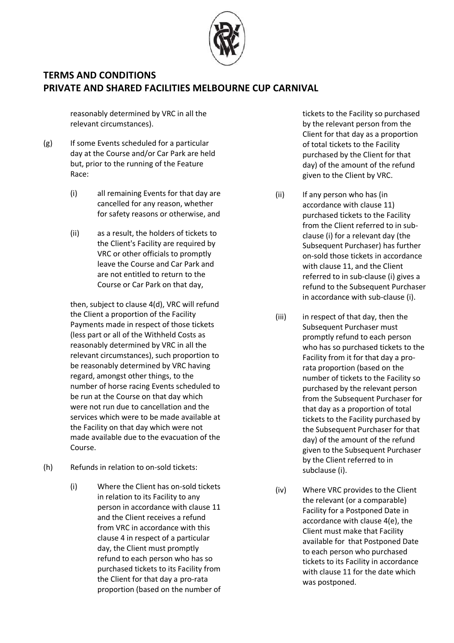

reasonably determined by VRC in all the relevant circumstances).

- (g) If some Events scheduled for a particular day at the Course and/or Car Park are held but, prior to the running of the Feature Race:
	- (i) all remaining Events for that day are cancelled for any reason, whether for safety reasons or otherwise, and
	- (ii) as a result, the holders of tickets to the Client's Facility are required by VRC or other officials to promptly leave the Course and Car Park and are not entitled to return to the Course or Car Park on that day,

then, subject to clause [4\(d\),](#page-3-2) VRC will refund the Client a proportion of the Facility Payments made in respect of those tickets (less part or all of the Withheld Costs as reasonably determined by VRC in all the relevant circumstances), such proportion to be reasonably determined by VRC having regard, amongst other things, to the number of horse racing Events scheduled to be run at the Course on that day which were not run due to cancellation and the services which were to be made available at the Facility on that day which were not made available due to the evacuation of the Course.

- (h) Refunds in relation to on-sold tickets:
	- (i) Where the Client has on-sold tickets in relation to its Facility to any person in accordance with clause [11](#page-8-0) and the Client receives a refund from VRC in accordance with this clause [4](#page-3-0) in respect of a particular day, the Client must promptly refund to each person who has so purchased tickets to its Facility from the Client for that day a pro-rata proportion (based on the number of

tickets to the Facility so purchased by the relevant person from the Client for that day as a proportion of total tickets to the Facility purchased by the Client for that day) of the amount of the refund given to the Client by VRC.

- (ii) If any person who has (in accordance with clause [11\)](#page-8-0) purchased tickets to the Facility from the Client referred to in subclause (i) for a relevant day (the Subsequent Purchaser) has further on-sold those tickets in accordance with claus[e 11,](#page-8-0) and the Client referred to in sub-clause (i) gives a refund to the Subsequent Purchaser in accordance with sub-clause (i).
- (iii) in respect of that day, then the Subsequent Purchaser must promptly refund to each person who has so purchased tickets to the Facility from it for that day a prorata proportion (based on the number of tickets to the Facility so purchased by the relevant person from the Subsequent Purchaser for that day as a proportion of total tickets to the Facility purchased by the Subsequent Purchaser for that day) of the amount of the refund given to the Subsequent Purchaser by the Client referred to in subclause (i).
- (iv) Where VRC provides to the Client the relevant (or a comparable) Facility for a Postponed Date in accordance with clause [4\(e\),](#page-3-1) the Client must make that Facility available for that Postponed Date to each person who purchased tickets to its Facility in accordance with claus[e 11](#page-8-0) for the date which was postponed.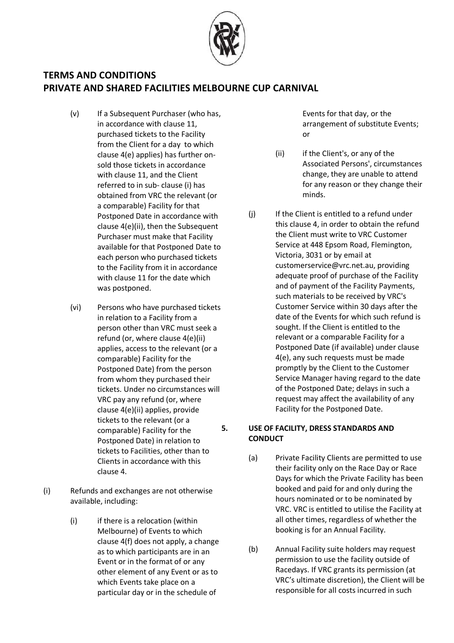

- (v) If a Subsequent Purchaser (who has, in accordance with clause [11,](#page-8-0) purchased tickets to the Facility from the Client for a day to which clause [4\(e\)](#page-3-1) applies) has further onsold those tickets in accordance with claus[e 11,](#page-8-0) and the Client referred to in sub- clause (i) has obtained from VRC the relevant (or a comparable) Facility for that Postponed Date in accordance with clause [4\(e\)\(ii\),](#page-3-3) then the Subsequent Purchaser must make that Facility available for that Postponed Date to each person who purchased tickets to the Facility from it in accordance with claus[e 11](#page-8-0) for the date which was postponed.
- (vi) Persons who have purchased tickets in relation to a Facility from a person other than VRC must seek a refund (or, where claus[e 4\(e\)\(ii\)](#page-3-3) applies, access to the relevant (or a comparable) Facility for the Postponed Date) from the person from whom they purchased their tickets. Under no circumstances will VRC pay any refund (or, where clause [4\(e\)\(ii\)](#page-3-3) applies, provide tickets to the relevant (or a comparable) Facility for the Postponed Date) in relation to tickets to Facilities, other than to Clients in accordance with this clause [4.](#page-3-0)
- (i) Refunds and exchanges are not otherwise available, including:
	- (i) if there is a relocation (within Melbourne) of Events to which clause [4\(f\)](#page-3-4) does not apply, a change as to which participants are in an Event or in the format of or any other element of any Event or as to which Events take place on a particular day or in the schedule of

Events for that day, or the arrangement of substitute Events; or

- (ii) if the Client's, or any of the Associated Persons', circumstances change, they are unable to attend for any reason or they change their minds.
- (j) If the Client is entitled to a refund under this claus[e 4,](#page-3-0) in order to obtain the refund the Client must write to VRC Customer Service at 448 Epsom Road, Flemington, Victoria, 3031 or by email at customerservice@vrc.net.au, providing adequate proof of purchase of the Facility and of payment of the Facility Payments, such materials to be received by VRC's Customer Service within 30 days after the date of the Events for which such refund is sought. If the Client is entitled to the relevant or a comparable Facility for a Postponed Date (if available) under clause [4\(e\),](#page-3-1) any such requests must be made promptly by the Client to the Customer Service Manager having regard to the date of the Postponed Date; delays in such a request may affect the availability of any Facility for the Postponed Date.

## **5. USE OF FACILITY, DRESS STANDARDS AND CONDUCT**

- (a) Private Facility Clients are permitted to use their facility only on the Race Day or Race Days for which the Private Facility has been booked and paid for and only during the hours nominated or to be nominated by VRC. VRC is entitled to utilise the Facility at all other times, regardless of whether the booking is for an Annual Facility.
- (b) Annual Facility suite holders may request permission to use the facility outside of Racedays. If VRC grants its permission (at VRC's ultimate discretion), the Client will be responsible for all costs incurred in such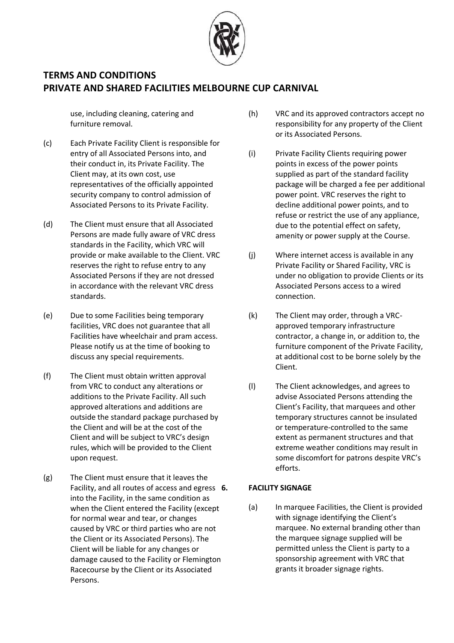

use, including cleaning, catering and furniture removal.

- (c) Each Private Facility Client is responsible for entry of all Associated Persons into, and their conduct in, its Private Facility. The Client may, at its own cost, use representatives of the officially appointed security company to control admission of Associated Persons to its Private Facility.
- (d) The Client must ensure that all Associated Persons are made fully aware of VRC dress standards in the Facility, which VRC will provide or make available to the Client. VRC reserves the right to refuse entry to any Associated Persons if they are not dressed in accordance with the relevant VRC dress standards.
- (e) Due to some Facilities being temporary facilities, VRC does not guarantee that all Facilities have wheelchair and pram access. Please notify us at the time of booking to discuss any special requirements.
- (f) The Client must obtain written approval from VRC to conduct any alterations or additions to the Private Facility. All such approved alterations and additions are outside the standard package purchased by the Client and will be at the cost of the Client and will be subject to VRC's design rules, which will be provided to the Client upon request.
- (g) The Client must ensure that it leaves the Facility, and all routes of access and egress 6. into the Facility, in the same condition as when the Client entered the Facility (except for normal wear and tear, or changes caused by VRC or third parties who are not the Client or its Associated Persons). The Client will be liable for any changes or damage caused to the Facility or Flemington Racecourse by the Client or its Associated Persons.
- (h) VRC and its approved contractors accept no responsibility for any property of the Client or its Associated Persons.
- (i) Private Facility Clients requiring power points in excess of the power points supplied as part of the standard facility package will be charged a fee per additional power point. VRC reserves the right to decline additional power points, and to refuse or restrict the use of any appliance, due to the potential effect on safety, amenity or power supply at the Course.
- (j) Where internet access is available in any Private Facility or Shared Facility, VRC is under no obligation to provide Clients or its Associated Persons access to a wired connection.
- (k) The Client may order, through a VRCapproved temporary infrastructure contractor, a change in, or addition to, the furniture component of the Private Facility, at additional cost to be borne solely by the Client.
- (l) The Client acknowledges, and agrees to advise Associated Persons attending the Client's Facility, that marquees and other temporary structures cannot be insulated or temperature-controlled to the same extent as permanent structures and that extreme weather conditions may result in some discomfort for patrons despite VRC's efforts.

## **6. FACILITY SIGNAGE**

<span id="page-6-0"></span>(a) In marquee Facilities, the Client is provided with signage identifying the Client's marquee. No external branding other than the marquee signage supplied will be permitted unless the Client is party to a sponsorship agreement with VRC that grants it broader signage rights.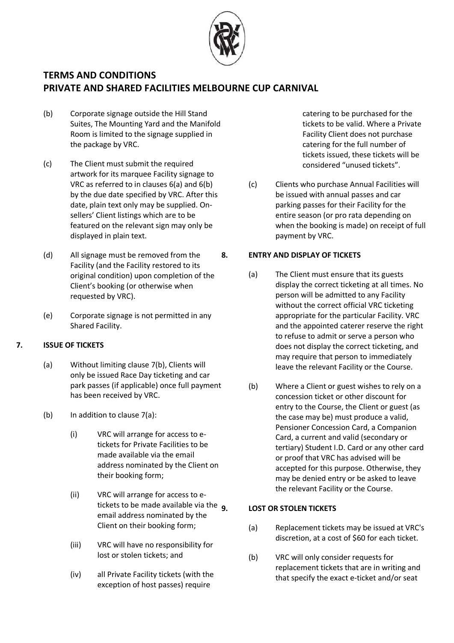

- <span id="page-7-0"></span>(b) Corporate signage outside the Hill Stand Suites, The Mounting Yard and the Manifold Room is limited to the signage supplied in the package by VRC.
- <span id="page-7-4"></span>(c) The Client must submit the required artwork for its marquee Facility signage to VRC as referred to in clauses [6\(a\)](#page-6-0) and [6\(b\)](#page-7-0) by the due date specified by VRC. After this date, plain text only may be supplied. Onsellers' Client listings which are to be featured on the relevant sign may only be displayed in plain text.
- (d) All signage must be removed from the Facility (and the Facility restored to its original condition) upon completion of the Client's booking (or otherwise when requested by VRC).
- (e) Corporate signage is not permitted in any Shared Facility.

## <span id="page-7-5"></span><span id="page-7-2"></span>**7. ISSUE OF TICKETS**

- (a) Without limiting clause [7\(b\),](#page-7-1) Clients will only be issued Race Day ticketing and car park passes (if applicable) once full payment has been received by VRC.
- <span id="page-7-1"></span>(b) In addition to clause [7\(a\):](#page-7-2)
	- (i) VRC will arrange for access to etickets for Private Facilities to be made available via the email address nominated by the Client on their booking form;
	- (ii) VRC will arrange for access to etickets to be made available via the  $q$ email address nominated by the Client on their booking form;
	- (iii) VRC will have no responsibility for lost or stolen tickets; and
	- (iv) all Private Facility tickets (with the exception of host passes) require

catering to be purchased for the tickets to be valid. Where a Private Facility Client does not purchase catering for the full number of tickets issued, these tickets will be considered "unused tickets".

(c) Clients who purchase Annual Facilities will be issued with annual passes and car parking passes for their Facility for the entire season (or pro rata depending on when the booking is made) on receipt of full payment by VRC.

### <span id="page-7-3"></span>**8. ENTRY AND DISPLAY OF TICKETS**

- (a) The Client must ensure that its guests display the correct ticketing at all times. No person will be admitted to any Facility without the correct official VRC ticketing appropriate for the particular Facility. VRC and the appointed caterer reserve the right to refuse to admit or serve a person who does not display the correct ticketing, and may require that person to immediately leave the relevant Facility or the Course.
- (b) Where a Client or guest wishes to rely on a concession ticket or other discount for entry to the Course, the Client or guest (as the case may be) must produce a valid, Pensioner Concession Card, a Companion Card, a current and valid (secondary or tertiary) Student I.D. Card or any other card or proof that VRC has advised will be accepted for this purpose. Otherwise, they may be denied entry or be asked to leave the relevant Facility or the Course.

#### **9. LOST OR STOLEN TICKETS**

- (a) Replacement tickets may be issued at VRC's discretion, at a cost of \$60 for each ticket.
- (b) VRC will only consider requests for replacement tickets that are in writing and that specify the exact e-ticket and/or seat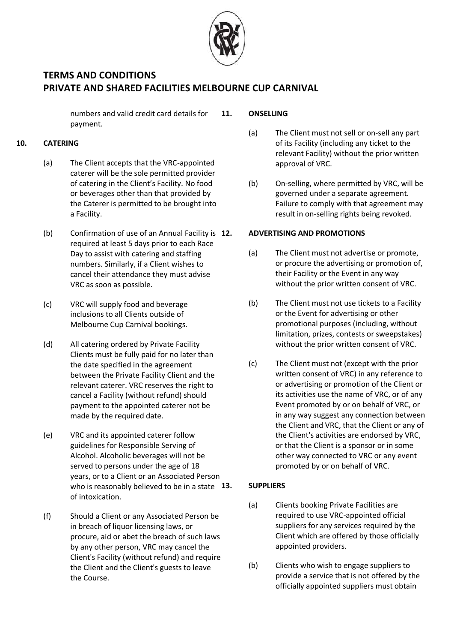

numbers and valid credit card details for payment.

## <span id="page-8-1"></span>**10. CATERING**

- (a) The Client accepts that the VRC-appointed caterer will be the sole permitted provider of catering in the Client's Facility. No food or beverages other than that provided by the Caterer is permitted to be brought into a Facility.
- (b) Confirmation of use of an Annual Facility is 12. required at least 5 days prior to each Race Day to assist with catering and staffing numbers. Similarly, if a Client wishes to cancel their attendance they must advise VRC as soon as possible.
- <span id="page-8-2"></span>(c) VRC will supply food and beverage inclusions to all Clients outside of Melbourne Cup Carnival bookings.
- (d) All catering ordered by Private Facility Clients must be fully paid for no later than the date specified in the agreement between the Private Facility Client and the relevant caterer. VRC reserves the right to cancel a Facility (without refund) should payment to the appointed caterer not be made by the required date.
- (e) VRC and its appointed caterer follow guidelines for Responsible Serving of Alcohol. Alcoholic beverages will not be served to persons under the age of 18 years, or to a Client or an Associated Person who is reasonably believed to be in a state  $13$ . of intoxication.
- (f) Should a Client or any Associated Person be in breach of liquor licensing laws, or procure, aid or abet the breach of such laws by any other person, VRC may cancel the Client's Facility (without refund) and require the Client and the Client's guests to leave the Course.

### <span id="page-8-0"></span>**11. ONSELLING**

- (a) The Client must not sell or on-sell any part of its Facility (including any ticket to the relevant Facility) without the prior written approval of VRC.
- (b) On-selling, where permitted by VRC, will be governed under a separate agreement. Failure to comply with that agreement may result in on-selling rights being revoked.

### **12. ADVERTISING AND PROMOTIONS**

- (a) The Client must not advertise or promote, or procure the advertising or promotion of, their Facility or the Event in any way without the prior written consent of VRC.
- (b) The Client must not use tickets to a Facility or the Event for advertising or other promotional purposes (including, without limitation, prizes, contests or sweepstakes) without the prior written consent of VRC.
- (c) The Client must not (except with the prior written consent of VRC) in any reference to or advertising or promotion of the Client or its activities use the name of VRC, or of any Event promoted by or on behalf of VRC, or in any way suggest any connection between the Client and VRC, that the Client or any of the Client's activities are endorsed by VRC, or that the Client is a sponsor or in some other way connected to VRC or any event promoted by or on behalf of VRC.

#### **13. SUPPLIERS**

- (a) Clients booking Private Facilities are required to use VRC-appointed official suppliers for any services required by the Client which are offered by those officially appointed providers.
- (b) Clients who wish to engage suppliers to provide a service that is not offered by the officially appointed suppliers must obtain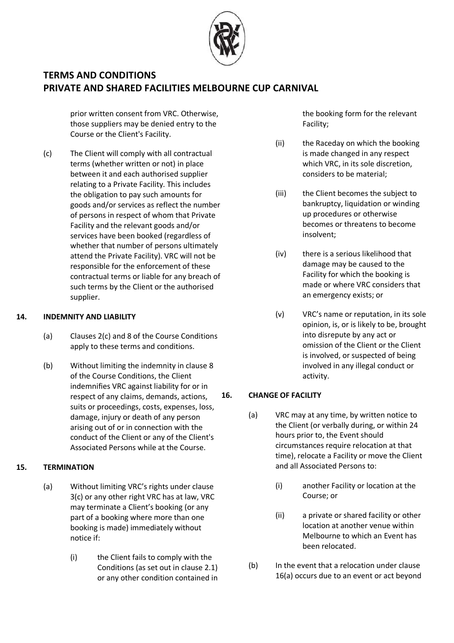

prior written consent from VRC. Otherwise, those suppliers may be denied entry to the Course or the Client's Facility.

(c) The Client will comply with all contractual terms (whether written or not) in place between it and each authorised supplier relating to a Private Facility. This includes the obligation to pay such amounts for goods and/or services as reflect the number of persons in respect of whom that Private Facility and the relevant goods and/or services have been booked (regardless of whether that number of persons ultimately attend the Private Facility). VRC will not be responsible for the enforcement of these contractual terms or liable for any breach of such terms by the Client or the authorised supplier.

### <span id="page-9-1"></span>**14. INDEMNITY AND LIABILITY**

- (a) Clauses [2\(c\)](#page-1-1) and [8](#page-7-3) of the Course Conditions apply to these terms and conditions.
- (b) Without limiting the indemnity in clause [8](#page-7-3) of the Course Conditions, the Client indemnifies VRC against liability for or in respect of any claims, demands, actions, suits or proceedings, costs, expenses, loss, damage, injury or death of any person arising out of or in connection with the conduct of the Client or any of the Client's Associated Persons while at the Course.

## **15. TERMINATION**

- (a) Without limiting VRC's rights under clause [3\(c\)](#page-2-2) or any other right VRC has at law, VRC may terminate a Client's booking (or any part of a booking where more than one booking is made) immediately without notice if:
	- (i) the Client fails to comply with the Conditions (as set out in clause 2.1) or any other condition contained in

the booking form for the relevant Facility;

- (ii) the Raceday on which the booking is made changed in any respect which VRC, in its sole discretion, considers to be material;
- (iii) the Client becomes the subject to bankruptcy, liquidation or winding up procedures or otherwise becomes or threatens to become insolvent;
- (iv) there is a serious likelihood that damage may be caused to the Facility for which the booking is made or where VRC considers that an emergency exists; or
- (v) VRC's name or reputation, in its sole opinion, is, or is likely to be, brought into disrepute by any act or omission of the Client or the Client is involved, or suspected of being involved in any illegal conduct or activity.

## <span id="page-9-0"></span>**16. CHANGE OF FACILITY**

- (a) VRC may at any time, by written notice to the Client (or verbally during, or within 24 hours prior to, the Event should circumstances require relocation at that time), relocate a Facility or move the Client and all Associated Persons to:
	- (i) another Facility or location at the Course; or
	- (ii) a private or shared facility or other location at another venue within Melbourne to which an Event has been relocated.
- (b) In the event that a relocation under clause [16\(a\)](#page-9-0) occurs due to an event or act beyond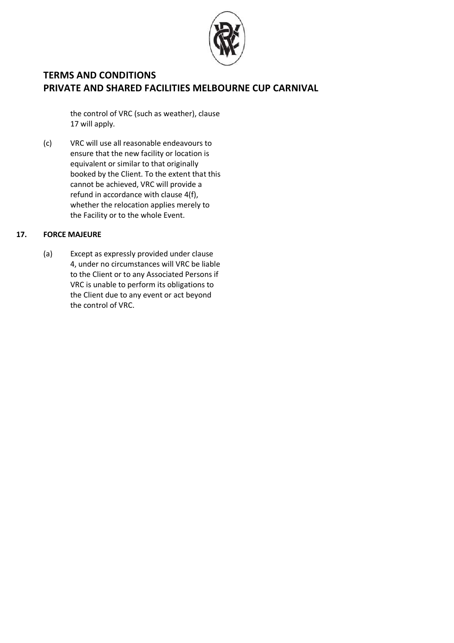

the control of VRC (such as weather), clause [17](#page-10-0) will apply.

(c) VRC will use all reasonable endeavours to ensure that the new facility or location is equivalent or similar to that originally booked by the Client. To the extent that this cannot be achieved, VRC will provide a refund in accordance with clause [4\(f\),](#page-3-4) whether the relocation applies merely to the Facility or to the whole Event.

### <span id="page-10-0"></span>**17. FORCE MAJEURE**

(a) Except as expressly provided under clause [4,](#page-3-0) under no circumstances will VRC be liable to the Client or to any Associated Persons if VRC is unable to perform its obligations to the Client due to any event or act beyond the control of VRC.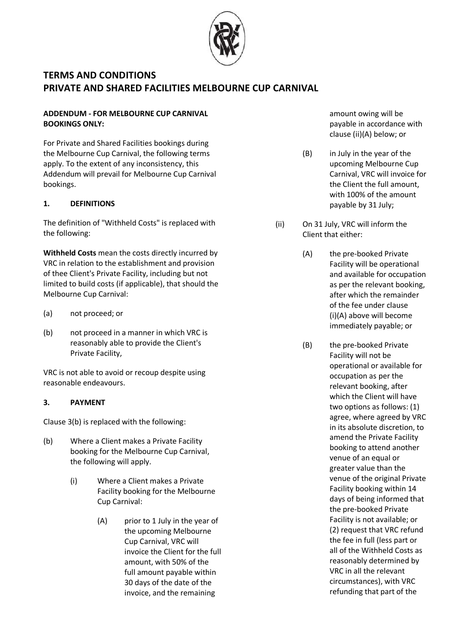

## **ADDENDUM - FOR MELBOURNE CUP CARNIVAL BOOKINGS ONLY:**

For Private and Shared Facilities bookings during the Melbourne Cup Carnival, the following terms apply. To the extent of any inconsistency, this Addendum will prevail for Melbourne Cup Carnival bookings.

## **1. DEFINITIONS**

The definition of "Withheld Costs" is replaced with the following:

**Withheld Costs** mean the costs directly incurred by VRC in relation to the establishment and provision of thee Client's Private Facility, including but not limited to build costs (if applicable), that should the Melbourne Cup Carnival:

- (a) not proceed; or
- (b) not proceed in a manner in which VRC is reasonably able to provide the Client's Private Facility,

VRC is not able to avoid or recoup despite using reasonable endeavours.

## **3. PAYMENT**

Claus[e 3\(b\)](#page-2-3) is replaced with the following:

- (b) Where a Client makes a Private Facility booking for the Melbourne Cup Carnival, the following will apply.
	- (i) Where a Client makes a Private Facility booking for the Melbourne Cup Carnival:
		- (A) prior to 1 July in the year of the upcoming Melbourne Cup Carnival, VRC will invoice the Client for the full amount, with 50% of the full amount payable within 30 days of the date of the invoice, and the remaining

amount owing will be payable in accordance with clause (ii)(A) below; or

- (B) in July in the year of the upcoming Melbourne Cup Carnival, VRC will invoice for the Client the full amount, with 100% of the amount payable by 31 July;
- (ii) On 31 July, VRC will inform the Client that either:
	- (A) the pre-booked Private Facility will be operational and available for occupation as per the relevant booking, after which the remainder of the fee under clause (i)(A) above will become immediately payable; or
	- (B) the pre-booked Private Facility will not be operational or available for occupation as per the relevant booking, after which the Client will have two options as follows: (1) agree, where agreed by VRC in its absolute discretion, to amend the Private Facility booking to attend another venue of an equal or greater value than the venue of the original Private Facility booking within 14 days of being informed that the pre-booked Private Facility is not available; or (2) request that VRC refund the fee in full (less part or all of the Withheld Costs as reasonably determined by VRC in all the relevant circumstances), with VRC refunding that part of the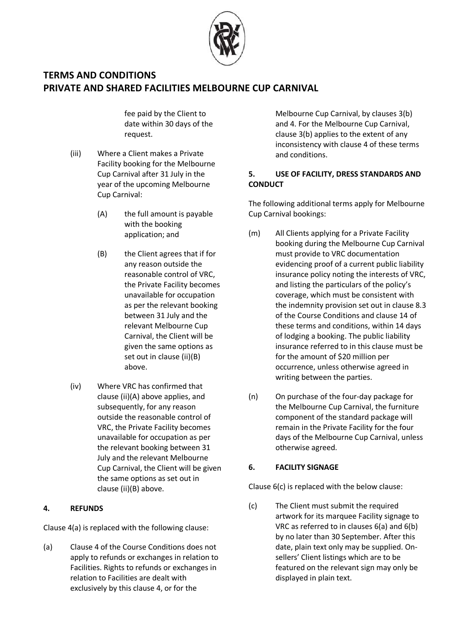

fee paid by the Client to date within 30 days of the request.

- (iii) Where a Client makes a Private Facility booking for the Melbourne Cup Carnival after 31 July in the year of the upcoming Melbourne Cup Carnival:
	- (A) the full amount is payable with the booking application; and
	- (B) the Client agrees that if for any reason outside the reasonable control of VRC, the Private Facility becomes unavailable for occupation as per the relevant booking between 31 July and the relevant Melbourne Cup Carnival, the Client will be given the same options as set out in clause (ii)(B) above.
- (iv) Where VRC has confirmed that clause (ii)(A) above applies, and subsequently, for any reason outside the reasonable control of VRC, the Private Facility becomes unavailable for occupation as per the relevant booking between 31 July and the relevant Melbourne Cup Carnival, the Client will be given the same options as set out in clause (ii)(B) above.

## **4. REFUNDS**

Claus[e 4\(a\)](#page-3-5) is replaced with the following clause:

(a) Clause 4 of the Course Conditions does not apply to refunds or exchanges in relation to Facilities. Rights to refunds or exchanges in relation to Facilities are dealt with exclusively by this clause 4, or for the

Melbourne Cup Carnival, by clauses [3\(b\)](#page-2-3) an[d 4.](#page-3-0) For the Melbourne Cup Carnival, claus[e 3\(b\)](#page-2-3) applies to the extent of any inconsistency with clause [4](#page-3-0) of these terms and conditions.

## **5. USE OF FACILITY, DRESS STANDARDS AND CONDUCT**

The following additional terms apply for Melbourne Cup Carnival bookings:

- (m) All Clients applying for a Private Facility booking during the Melbourne Cup Carnival must provide to VRC documentation evidencing proof of a current public liability insurance policy noting the interests of VRC, and listing the particulars of the policy's coverage, which must be consistent with the indemnity provision set out in clause 8.3 of the Course Conditions and clause [14](#page-9-1) of these terms and conditions, within 14 days of lodging a booking. The public liability insurance referred to in this clause must be for the amount of \$20 million per occurrence, unless otherwise agreed in writing between the parties.
- (n) On purchase of the four-day package for the Melbourne Cup Carnival, the furniture component of the standard package will remain in the Private Facility for the four days of the Melbourne Cup Carnival, unless otherwise agreed.

## **6. FACILITY SIGNAGE**

Claus[e 6\(c\)](#page-7-4) is replaced with the below clause:

(c) The Client must submit the required artwork for its marquee Facility signage to VRC as referred to in clauses [6\(a\)](#page-6-0) and [6\(b\)](#page-7-0) by no later than 30 September. After this date, plain text only may be supplied. Onsellers' Client listings which are to be featured on the relevant sign may only be displayed in plain text.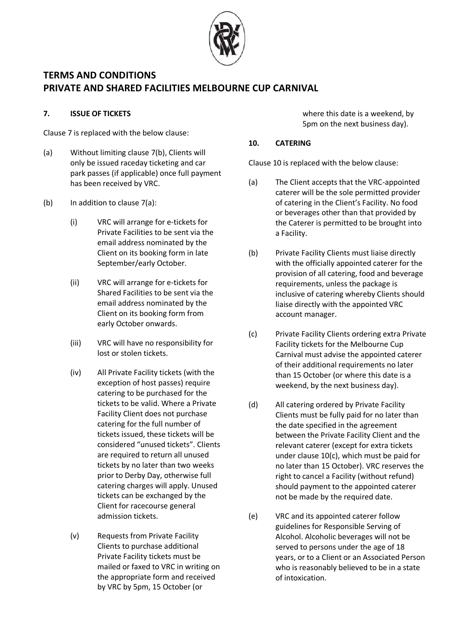

### **7. ISSUE OF TICKETS**

Claus[e 7](#page-7-5) is replaced with the below clause:

- (a) Without limiting clause [7\(b\),](#page-7-1) Clients will only be issued raceday ticketing and car park passes (if applicable) once full payment has been received by VRC.
- (b) In addition to clause [7\(a\):](#page-7-2)
	- (i) VRC will arrange for e-tickets for Private Facilities to be sent via the email address nominated by the Client on its booking form in late September/early October.
	- (ii) VRC will arrange for e-tickets for Shared Facilities to be sent via the email address nominated by the Client on its booking form from early October onwards.
	- (iii) VRC will have no responsibility for lost or stolen tickets.
	- (iv) All Private Facility tickets (with the exception of host passes) require catering to be purchased for the tickets to be valid. Where a Private Facility Client does not purchase catering for the full number of tickets issued, these tickets will be considered "unused tickets". Clients are required to return all unused tickets by no later than two weeks prior to Derby Day, otherwise full catering charges will apply. Unused tickets can be exchanged by the Client for racecourse general admission tickets.
	- (v) Requests from Private Facility Clients to purchase additional Private Facility tickets must be mailed or faxed to VRC in writing on the appropriate form and received by VRC by 5pm, 15 October (or

where this date is a weekend, by 5pm on the next business day).

### **10. CATERING**

Claus[e 10](#page-8-1) is replaced with the below clause:

- (a) The Client accepts that the VRC-appointed caterer will be the sole permitted provider of catering in the Client's Facility. No food or beverages other than that provided by the Caterer is permitted to be brought into a Facility.
- (b) Private Facility Clients must liaise directly with the officially appointed caterer for the provision of all catering, food and beverage requirements, unless the package is inclusive of catering whereby Clients should liaise directly with the appointed VRC account manager.
- (c) Private Facility Clients ordering extra Private Facility tickets for the Melbourne Cup Carnival must advise the appointed caterer of their additional requirements no later than 15 October (or where this date is a weekend, by the next business day).
- (d) All catering ordered by Private Facility Clients must be fully paid for no later than the date specified in the agreement between the Private Facility Client and the relevant caterer (except for extra tickets under clause [10\(c\),](#page-8-2) which must be paid for no later than 15 October). VRC reserves the right to cancel a Facility (without refund) should payment to the appointed caterer not be made by the required date.
- (e) VRC and its appointed caterer follow guidelines for Responsible Serving of Alcohol. Alcoholic beverages will not be served to persons under the age of 18 years, or to a Client or an Associated Person who is reasonably believed to be in a state of intoxication.